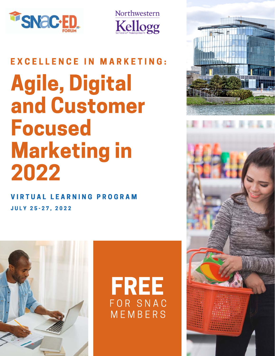



# Agile, Digital and Customer Focused Marketing in 2022 EXCELLENCE IN MARKETING:

J U L Y 2 5 - 2 7 , 2 0 2 2 V I R T U A L L E A R N I N G P R O G R A M



FREE F O R S N A C **MEMBERS** 

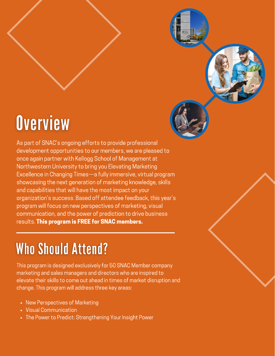# **Overview**

As part of SNAC's ongoing efforts to provide professional development opportunities to our members, we are pleased to once again partner with Kellogg School of Management at Northwestern University to bring you Elevating Marketing Excellence in Changing Times—a fully immersive, virtual program showcasing the next generation of marketing knowledge, skills and capabilities that will have the most impact on your organization's success. Based off attendee feedback, this year's program will focus on new perspectives of marketing, visual communication, and the power of prediction to drive business results. This program is FREE for SNAC members.

# **Who Should Attend?**

This program is designed exclusively for 50 SNAC Member company marketing and sales managers and directors who are inspired to elevate their skills to come out ahead in times of market disruption and change. This program will address three key areas:

- New Perspectives of Marketing
- Visual Communication
- The Power to Predict: Strengthening Your Insight Power

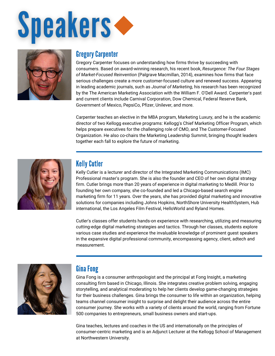



#### Gregory Carpenter

Gregory Carpenter focuses on understanding how firms thrive by succeeding with consumers. Based on award-winning research, his recent book, *Resurgence: The Four Stages of Market-Focused Reinvention* (Palgrave Macmillan, 2014), examines how firms that face serious challenges create a more customer-focused culture and renewed success. Appearing in leading academic journals, such as *Journal of Marketing*, his research has been recognized by the The American Marketing Association with the William F. O'Dell Award. Carpenter's past and current clients include Carnival Corporation, Dow Chemical, Federal Reserve Bank, Government of Mexico, PepsiCo, Pfizer, Unilever, and more.

Carpenter teaches an elective in the MBA program, Marketing Luxury, and he is the academic director of two Kellogg executive programs: Kellogg's Chief Marketing Officer Program, which helps prepare executives for the challenging role of CMO, and The Customer-Focused Organization. He also co-chairs the Marketing Leadership Summit, bringing thought leaders together each fall to explore the future of marketing.



## Kelly Cutler

Kelly Cutler is a lecturer and director of the Integrated Marketing Communications (IMC) Professional master's program. She is also the founder and CEO of her own digital strategy firm. Cutler brings more than 20 years of experience in digital marketing to Medill. Prior to founding her own company, she co-founded and led a Chicago-based search engine marketing firm for 11 years. Over the years, she has provided digital marketing and innovative solutions for companies including Johns Hopkins, NorthShore University HealthSystem, Hub international, the Los Angeles Film Festival, HelloWorld and Ryland Homes.

Cutler's classes offer students hands-on experience with researching, utilizing and measuring cutting-edge digital marketing strategies and tactics. Through her classes, students explore various case studies and experience the invaluable knowledge of prominent guest speakers in the expansive digital professional community, encompassing agency, client, adtech and measurement.



## Gina Fong

Gina Fong is a consumer anthropologist and the principal at Fong Insight, a marketing consulting firm based in Chicago, Illinois. She integrates creative problem solving, engaging storytelling, and analytical moderating to help her clients develop game-changing strategies for their business challenges. Gina brings the consumer to life within an organization, helping teams channel consumer insight to surprise and delight their audience across the entire consumer journey. She works with a variety of clients around the world, ranging from Fortune 500 companies to entrepreneurs, small business owners and start-ups.

Gina teaches, lectures and coaches in the US and internationally on the principles of consumer-centric marketing and is an Adjunct Lecturer at the Kellogg School of Management at Northwestern University.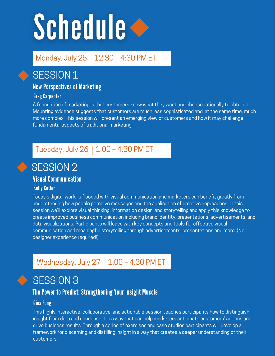# Schedule <

## Monday, July 25 | 12:30 - 4:30 PM ET

## SESSION 1

### New Perspectives of Marketing

#### Greg Carpenter

A foundation of marketing is that customers know what they want and choose rationally to obtain it. Mounting evidence suggests that customers are much less sophisticated and, at the same time, much more complex. This session will present an emerging view of customers and how it may challenge fundamental aspects of traditional marketing.

## Tuesday, July 26 | 1:00 - 4:30 PM ET



## SESSION 2

## Visual Communication

#### Kelly Cutler

Today's digital world is flooded with visual communication and marketers can benefit greatly from understanding how people perceive messages and the application of creative approaches. In this session we'll explore visual thinking, information design, and storytelling and apply this knowledge to create improved business communication including brand identity, presentations, advertisements, and data visualizations. Participants will leave with key concepts and tools for effective visual communication and meaningful storytelling through advertisements, presentations and more. (No designer experience required!)

## Wednesday, July 27 | 1:00 - 4:30 PM ET



## SESSION<sub>3</sub>

### The Power to Predict: Strengthening Your Insight Muscle

#### Gina Fong

This highly interactive, collaborative, and actionable session teaches participants how to distinguish insight from data and condense it in a way that can help marketers anticipate customers' actions and drive business results. Through a series of exercises and case studies participants will develop a framework for discerning and distilling insight in a way that creates a deeper understanding of their customers.